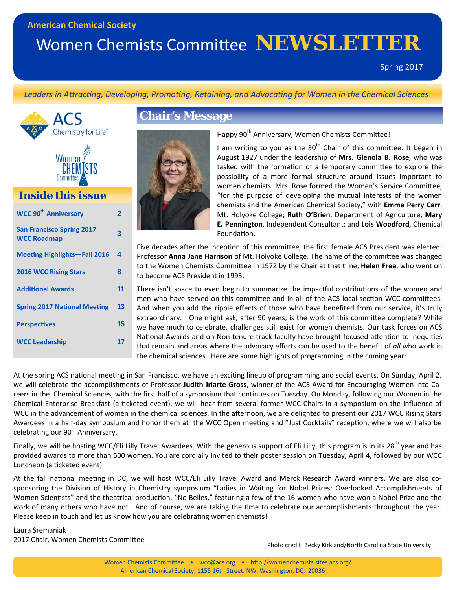### **American Chemical Society**

# Women Chemists Committee **NEWSLETTER**

*Leaders in AƩracƟng, Developing, PromoƟng, Retaining, and AdvocaƟng for Women in the Chemical Sciences*





## *Inside this issue*

| <b>WCC 90th Anniversary</b>                            | $\mathfrak z$ |
|--------------------------------------------------------|---------------|
| <b>San Francisco Spring 2017</b><br><b>WCC Roadmap</b> | 3             |
| <b>Meeting Highlights-Fall 2016</b>                    | 4             |
| <b>2016 WCC Rising Stars</b>                           | 8             |
| <b>Additional Awards</b>                               | 11            |
| <b>Spring 2017 National Meeting</b>                    | 13            |
| <b>Perspectives</b>                                    | 15            |
| <b>WCC Leadership</b>                                  | 17            |
|                                                        |               |

### **Chair's Message**



Happy 90<sup>th</sup> Anniversary, Women Chemists Committee!

I am writing to you as the  $30<sup>th</sup>$  Chair of this committee. It began in August 1927 under the leadership of **Mrs. Glenola B. Rose**, who was tasked with the formation of a temporary committee to explore the possibility of a more formal structure around issues important to women chemists. Mrs. Rose formed the Women's Service Committee, "for the purpose of developing the mutual interests of the women chemists and the American Chemical Society," with **Emma Perry Carr**, Mt. Holyoke College; **Ruth O'Brien**, Department of Agriculture; **Mary E. Pennington**, Independent Consultant; and **Lois Woodford**, Chemical Foundation.

Five decades after the inception of this committee, the first female ACS President was elected: Professor Anna Jane Harrison of Mt. Holyoke College. The name of the committee was changed to the Women Chemists Committee in 1972 by the Chair at that time, Helen Free, who went on to become ACS President in 1993.

There isn't space to even begin to summarize the impactful contributions of the women and men who have served on this committee and in all of the ACS local section WCC committees. And when you add the ripple effects of those who have benefited from our service, it's truly extraordinary. One might ask, after 90 years, is the work of this committee complete? While we have much to celebrate, challenges still exist for women chemists. Our task forces on ACS National Awards and on Non-tenure track faculty have brought focused attention to inequities that remain and areas where the advocacy efforts can be used to the benefit of *all* who work in the chemical sciences. Here are some highlights of programming in the coming year:

At the spring ACS national meeting in San Francisco, we have an exciting lineup of programming and social events. On Sunday, April 2, we will celebrate the accomplishments of Professor **Judith Iriarte‐Gross**, winner of the ACS Award for Encouraging Women into Ca‐ reers in the Chemical Sciences, with the first half of a symposium that continues on Tuesday. On Monday, following our Women in the Chemical Enterprise Breakfast (a ticketed event), we will hear from several former WCC Chairs in a symposium on the influence of WCC in the advancement of women in the chemical sciences. In the afternoon, we are delighted to present our 2017 WCC Rising Stars Awardees in a half-day symposium and honor them at the WCC Open meeting and "Just Cocktails" reception, where we will also be celebrating our 90<sup>th</sup> Anniversary.

Finally, we will be hosting WCC/Eli Lilly Travel Awardees. With the generous support of Eli Lilly, this program is in its 28<sup>th</sup> year and has provided awards to more than 500 women. You are cordially invited to their poster session on Tuesday, April 4, followed by our WCC Luncheon (a ticketed event).

At the fall national meeting in DC, we will host WCC/Eli Lilly Travel Award and Merck Research Award winners. We are also cosponsoring the Division of History in Chemistry symposium "Ladies in Waiting for Nobel Prizes: Overlooked Accomplishments of Women Scientists" and the theatrical production, "No Belles," featuring a few of the 16 women who have won a Nobel Prize and the work of many others who have not. And of course, we are taking the time to celebrate our accomplishments throughout the year. Please keep in touch and let us know how you are celebrating women chemists!

Laura Sremaniak 2017 Chair, Women Chemists Committee

Photo credit: Becky Kirkland/North Carolina State University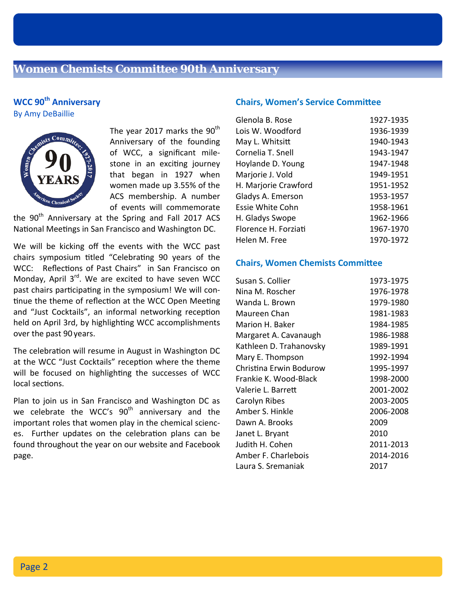### **WCC 90th Anniversary** By Amy DeBaillie



The year 2017 marks the  $90<sup>th</sup>$ Anniversary of the founding of WCC, a significant mile‐ stone in an exciting journey that began in 1927 when women made up 3.55% of the ACS membership. A number of events will commemorate

the 90<sup>th</sup> Anniversary at the Spring and Fall 2017 ACS National Meetings in San Francisco and Washington DC.

We will be kicking off the events with the WCC past chairs symposium titled "Celebrating 90 years of the WCC: Reflections of Past Chairs" in San Francisco on Monday, April  $3^{rd}$ . We are excited to have seven WCC past chairs participating in the symposium! We will continue the theme of reflection at the WCC Open Meeting and "Just Cocktails", an informal networking reception held on April 3rd, by highlighting WCC accomplishments over the past 90 years.

The celebration will resume in August in Washington DC at the WCC "Just Cocktails" reception where the theme will be focused on highlighting the successes of WCC local sections.

Plan to join us in San Francisco and Washington DC as we celebrate the WCC's 90<sup>th</sup> anniversary and the important roles that women play in the chemical scienc‐ es. Further updates on the celebration plans can be found throughout the year on our website and Facebook page.

### **Chairs, Women's Service Committee**

| Glenola B. Rose      | 1927-1935 |
|----------------------|-----------|
| Lois W. Woodford     | 1936-1939 |
| May L. Whitsitt      | 1940-1943 |
| Cornelia T. Snell    | 1943-1947 |
| Hoylande D. Young    | 1947-1948 |
| Marjorie J. Vold     | 1949-1951 |
| H. Marjorie Crawford | 1951-1952 |
| Gladys A. Emerson    | 1953-1957 |
| Essie White Cohn     | 1958-1961 |
| H. Gladys Swope      | 1962-1966 |
| Florence H. Forziati | 1967-1970 |
| Helen M. Free        | 1970-1972 |

### **Chairs, Women Chemists Committee**

| 1973-1975 |
|-----------|
| 1976-1978 |
| 1979-1980 |
| 1981-1983 |
| 1984-1985 |
| 1986-1988 |
| 1989-1991 |
| 1992-1994 |
| 1995-1997 |
| 1998-2000 |
| 2001-2002 |
| 2003-2005 |
| 2006-2008 |
| 2009      |
| 2010      |
| 2011-2013 |
| 2014-2016 |
| 2017      |
|           |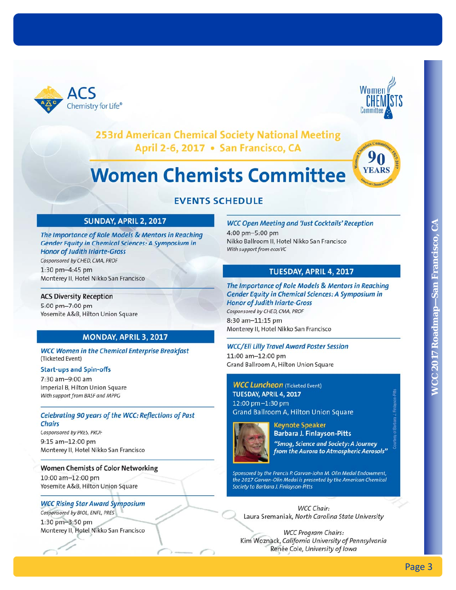



### 253rd American Chemical Society National Meeting April 2-6, 2017 . San Francisco, CA

# **Women Chemists Committee**



## **EVENTS SCHEDULE**

# **Page 2018** SUNDAY, APRIL 3, 2012<br>
The importance of Role Models & Mentors in Reaching<br>
Cardid Topics of Road, Note (Figure 2017) in Cardid Colores and Suite Constrained Constrained Constrained Constrained Constrained Co

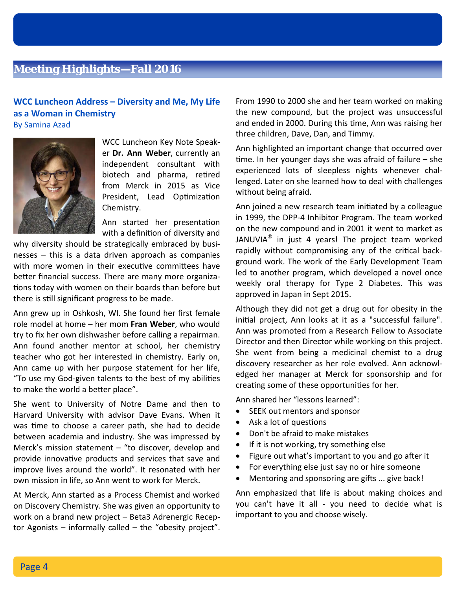# **Meeting Highlights—Fall 2016**

### **WCC Luncheon Address – Diversity and Me, My Life as a Woman in Chemistry** By Samina Azad



WCC Luncheon Key Note Speak‐ er **Dr. Ann Weber**, currently an independent consultant with biotech and pharma, retired from Merck in 2015 as Vice President, Lead Optimization Chemistry.

Ann started her presentation with a definition of diversity and

why diversity should be strategically embraced by businesses – this is a data driven approach as companies with more women in their executive committees have better financial success. There are many more organizations today with women on their boards than before but there is still significant progress to be made.

Ann grew up in Oshkosh, WI. She found her first female role model at home – her mom **Fran Weber**, who would try to fix her own dishwasher before calling a repairman. Ann found another mentor at school, her chemistry teacher who got her interested in chemistry. Early on, Ann came up with her purpose statement for her life, "To use my God-given talents to the best of my abilities to make the world a better place".

She went to University of Notre Dame and then to Harvard University with advisor Dave Evans. When it was time to choose a career path, she had to decide between academia and industry. She was impressed by Merck's mission statement – "to discover, develop and provide innovative products and services that save and improve lives around the world". It resonated with her own mission in life, so Ann went to work for Merck.

At Merck, Ann started as a Process Chemist and worked on Discovery Chemistry. She was given an opportunity to work on a brand new project – Beta3 Adrenergic Recep‐ tor Agonists – informally called – the "obesity project". From 1990 to 2000 she and her team worked on making the new compound, but the project was unsuccessful and ended in 2000. During this time, Ann was raising her three children, Dave, Dan, and Timmy.

Ann highlighted an important change that occurred over time. In her younger days she was afraid of failure  $-$  she experienced lots of sleepless nights whenever challenged. Later on she learned how to deal with challenges without being afraid.

Ann joined a new research team initiated by a colleague in 1999, the DPP‐4 Inhibitor Program. The team worked on the new compound and in 2001 it went to market as JANUVIA $^{\circ}$  in just 4 years! The project team worked rapidly without compromising any of the critical background work. The work of the Early Development Team led to another program, which developed a novel once weekly oral therapy for Type 2 Diabetes. This was approved in Japan in Sept 2015.

Although they did not get a drug out for obesity in the initial project, Ann looks at it as a "successful failure". Ann was promoted from a Research Fellow to Associate Director and then Director while working on this project. She went from being a medicinal chemist to a drug discovery researcher as her role evolved. Ann acknowl‐ edged her manager at Merck for sponsorship and for creating some of these opportunities for her.

Ann shared her "lessons learned":

- SEEK out mentors and sponsor
- $\bullet$  Ask a lot of questions
- Don't be afraid to make mistakes
- If it is not working, try something else
- $\bullet$  Figure out what's important to you and go after it
- For everything else just say no or hire someone
- $\bullet$  Mentoring and sponsoring are gifts ... give back!

Ann emphasized that life is about making choices and you can't have it all ‐ you need to decide what is important to you and choose wisely.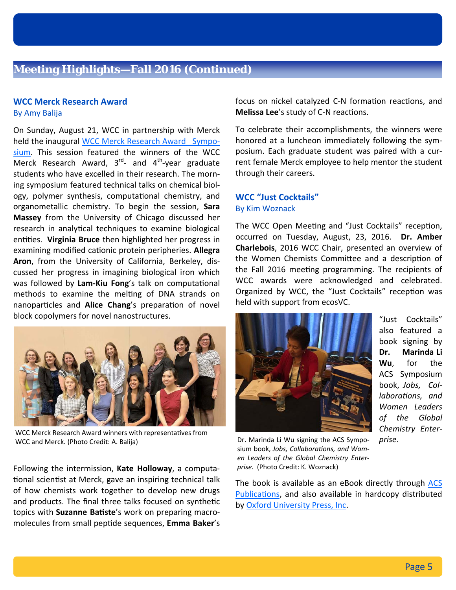### **WCC Merck Research Award**

By Amy Balija

On Sunday, August 21, WCC in partnership with Merck held the inaugural WCC Merck Research Award Symposium. This session featured the winners of the WCC Merck Research Award,  $3<sup>rd</sup>$  and  $4<sup>th</sup>$ -year graduate students who have excelled in their research. The morn‐ ing symposium featured technical talks on chemical biol‐ ogy, polymer synthesis, computational chemistry, and organometallic chemistry. To begin the session, **Sara Massey** from the University of Chicago discussed her research in analytical techniques to examine biological entities. Virginia Bruce then highlighted her progress in examining modified cationic protein peripheries. **Allegra Aron**, from the University of California, Berkeley, dis‐ cussed her progress in imagining biological iron which was followed by Lam-Kiu Fong's talk on computational methods to examine the melting of DNA strands on nanoparticles and **Alice Chang**'s preparation of novel block copolymers for novel nanostructures.



WCC Merck Research Award winners with representatives from WCC and Merck. (Photo Credit: A. Balija) Dr. Marinda Li Wu signing the ACS Sympo-

Following the intermission, **Kate Holloway**, a computa‐ tional scientist at Merck, gave an inspiring technical talk of how chemists work together to develop new drugs and products. The final three talks focused on synthetic topics with **Suzanne Batiste**'s work on preparing macromolecules from small pepƟde sequences, **Emma Baker**'s focus on nickel catalyzed C-N formation reactions, and **Melissa Lee**'s study of C-N reactions.

To celebrate their accomplishments, the winners were honored at a luncheon immediately following the sym‐ posium. Each graduate student was paired with a cur‐ rent female Merck employee to help mentor the student through their careers.

### **WCC "Just Cocktails"** By Kim Woznack

The WCC Open Meeting and "Just Cocktails" reception, occurred on Tuesday, August, 23, 2016. **Dr. Amber Charlebois**, 2016 WCC Chair, presented an overview of the Women Chemists Committee and a description of the Fall 2016 meeting programming. The recipients of WCC awards were acknowledged and celebrated. Organized by WCC, the "Just Cocktails" reception was held with support from ecosVC.



"Just Cocktails" also featured a book signing by **Dr. Marinda Li Wu**, for the ACS Symposium book, *Jobs, Col‐ laboraƟons, and Women Leaders of the Global Chemistry Enter‐ prise*.

sium book, Jobs, Collaborations, and Wom*en Leaders of the Global Chemistry Enter‐ prise.* (Photo Credit: K. Woznack)

The book is available as an eBook directly through ACS Publications, and also available in hardcopy distributed by Oxford University Press, Inc.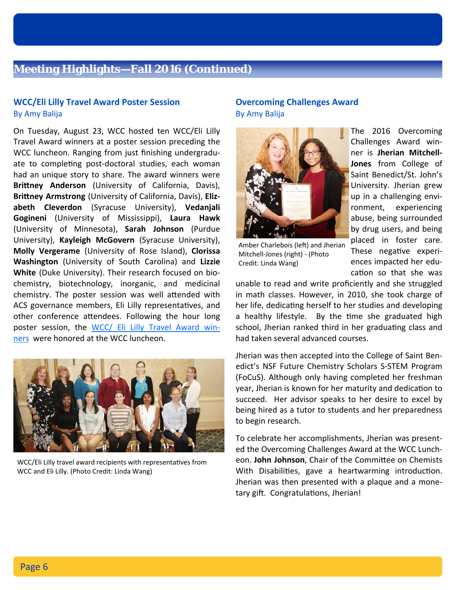### **Meeting Highlights—Fall 2016 (Continued)**

### **WCC/Eli Lilly Travel Award Poster Session** By Amy Balija

On Tuesday, August 23, WCC hosted ten WCC/Eli Lilly Travel Award winners at a poster session preceding the WCC luncheon. Ranging from just finishing undergradu‐ ate to completing post-doctoral studies, each woman had an unique story to share. The award winners were Brittney Anderson (University of California, Davis), **BriƩney Armstrong** (University of California, Davis), **Eliz‐ abeth Cleverdon** (Syracuse University), **Vedanjali Gogineni** (University of Mississippi), **Laura Hawk** (University of Minnesota), **Sarah Johnson** (Purdue University), **Kayleigh McGovern** (Syracuse University), **Molly Vergerame** (University of Rose Island), **Clorissa Washington** (University of South Carolina) and **Lizzie White** (Duke University). Their research focused on bio‐ chemistry, biotechnology, inorganic, and medicinal chemistry. The poster session was well attended with ACS governance members, Eli Lilly representatives, and other conference attendees. Following the hour long poster session, the WCC/ Eli Lilly Travel Award winners were honored at the WCC luncheon.



WCC/Eli Lilly travel award recipients with representatives from WCC and Eli Lilly. (Photo Credit: Linda Wang)

### **Overcoming Challenges Award** By Amy Balija



The 2016 Overcoming Challenges Award win‐ ner is **Jherian Mitchell‐ Jones** from College of Saint Benedict/St. John's University. Jherian grew up in a challenging envi‐ ronment, experiencing abuse, being surrounded by drug users, and being placed in foster care. These negative experiences impacted her edu‐ cation so that she was

Amber Charlebois (left) and Jherian Mitchell‐Jones (right) ‐ (Photo Credit: Linda Wang)

unable to read and write proficiently and she struggled in math classes. However, in 2010, she took charge of her life, dedicating herself to her studies and developing a healthy lifestyle. By the time she graduated high school, Jherian ranked third in her graduating class and had taken several advanced courses.

Jherian was then accepted into the College of Saint Ben‐ edict's NSF Future Chemistry Scholars S‐STEM Program (FoCuS). Although only having completed her freshman year, Jherian is known for her maturity and dedication to succeed. Her advisor speaks to her desire to excel by being hired as a tutor to students and her preparedness to begin research.

To celebrate her accomplishments, Jherian was present‐ ed the Overcoming Challenges Award at the WCC Lunch‐ eon. **John Johnson**, Chair of the Committee on Chemists With Disabilities, gave a heartwarming introduction. Jherian was then presented with a plaque and a mone‐ tary gift. Congratulations, Jherian!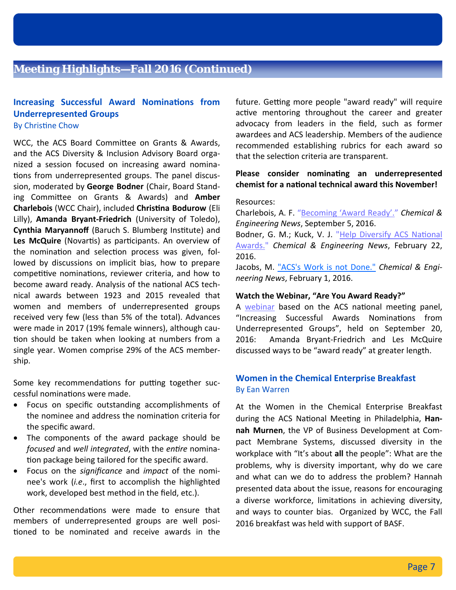# **Meeting Highlights—Fall 2016 (Continued)**

### **Increasing Successful Award Nominations from Underrepresented Groups** By Christine Chow

WCC, the ACS Board Committee on Grants & Awards, and the ACS Diversity & Inclusion Advisory Board orga‐ nized a session focused on increasing award nomina‐ tions from underrepresented groups. The panel discussion, moderated by **George Bodner** (Chair, Board Stand‐ ing CommiƩee on Grants & Awards) and **Amber Charlebois** (WCC Chair), included **ChrisƟna Bodurow** (Eli Lilly), **Amanda Bryant‐Friedrich** (University of Toledo), **Cynthia Maryannoff** (Baruch S. Blumberg InsƟtute) and Les McQuire (Novartis) as participants. An overview of the nomination and selection process was given, followed by discussions on implicit bias, how to prepare competitive nominations, reviewer criteria, and how to become award ready. Analysis of the national ACS technical awards between 1923 and 2015 revealed that women and members of underrepresented groups received very few (less than 5% of the total). Advances were made in 2017 (19% female winners), although cau‐ tion should be taken when looking at numbers from a single year. Women comprise 29% of the ACS member‐ ship.

Some key recommendations for putting together successful nominations were made.

- Focus on specific outstanding accomplishments of the nominee and address the nomination criteria for the specific award.
- The components of the award package should be *focused* and *well integrated*, with the *entire* nomination package being tailored for the specific award.
- Focus on the *significance* and *impact* of the nomi‐ nee's work (*i.e*., first to accomplish the highlighted work, developed best method in the field, etc.).

Other recommendations were made to ensure that members of underrepresented groups are well posi‐ tioned to be nominated and receive awards in the future. Getting more people "award ready" will require active mentoring throughout the career and greater advocacy from leaders in the field, such as former awardees and ACS leadership. Members of the audience recommended establishing rubrics for each award so that the selection criteria are transparent.

### **Please consider nominating an underrepresented chemist for a naƟonal technical award this November!**

### Resources:

Charlebois, A. F. "Becoming 'Award Ready'." *Chemical & Engineering News*, September 5, 2016.

Bodner, G. M.; Kuck, V. J. "Help Diversify ACS National Awards." *Chemical & Engineering News*, February 22, 2016.

Jacobs, M. "ACS's Work is not Done." *Chemical & Engi‐ neering News*, February 1, 2016.

### **Watch the Webinar, "Are You Award Ready?"**

A webinar based on the ACS national meeting panel, "Increasing Successful Awards Nominations from Underrepresented Groups", held on September 20, 2016: Amanda Bryant‐Friedrich and Les McQuire discussed ways to be "award ready" at greater length.

### **Women in the Chemical Enterprise Breakfast** By Ean Warren

At the Women in the Chemical Enterprise Breakfast during the ACS National Meeting in Philadelphia, Han**nah Murnen**, the VP of Business Development at Com‐ pact Membrane Systems, discussed diversity in the workplace with "It's about **all** the people": What are the problems, why is diversity important, why do we care and what can we do to address the problem? Hannah presented data about the issue, reasons for encouraging a diverse workforce, limitations in achieving diversity, and ways to counter bias. Organized by WCC, the Fall 2016 breakfast was held with support of BASF.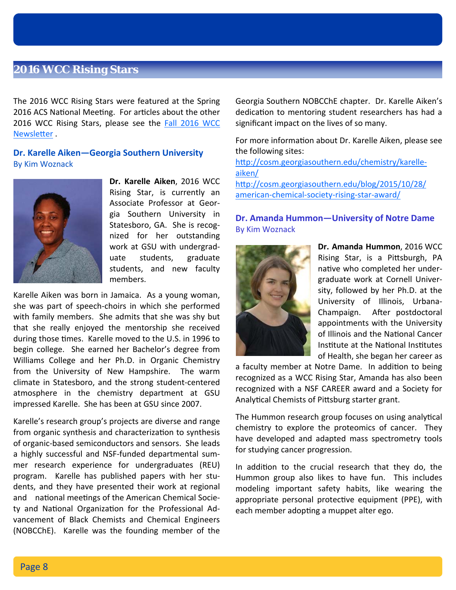### **2016 WCC Rising Stars**

The 2016 WCC Rising Stars were featured at the Spring 2016 ACS National Meeting. For articles about the other 2016 WCC Rising Stars, please see the Fall 2016 WCC Newsletter.

**Dr. Karelle Aiken—Georgia Southern University** By Kim Woznack



**Dr. Karelle Aiken**, 2016 WCC Rising Star, is currently an Associate Professor at Geor‐ gia Southern University in Statesboro, GA. She is recog‐ nized for her outstanding work at GSU with undergrad‐ uate students, graduate students, and new faculty members.

Karelle Aiken was born in Jamaica. As a young woman, she was part of speech‐choirs in which she performed with family members. She admits that she was shy but that she really enjoyed the mentorship she received during those times. Karelle moved to the U.S. in 1996 to begin college. She earned her Bachelor's degree from Williams College and her Ph.D. in Organic Chemistry from the University of New Hampshire. The warm climate in Statesboro, and the strong student‐centered atmosphere in the chemistry department at GSU impressed Karelle. She has been at GSU since 2007.

Karelle's research group's projects are diverse and range from organic synthesis and characterization to synthesis of organic‐based semiconductors and sensors. She leads a highly successful and NSF‐funded departmental sum‐ mer research experience for undergraduates (REU) program. Karelle has published papers with her stu‐ dents, and they have presented their work at regional and national meetings of the American Chemical Society and National Organization for the Professional Advancement of Black Chemists and Chemical Engineers (NOBCChE). Karelle was the founding member of the Georgia Southern NOBCChE chapter. Dr. Karelle Aiken's dedication to mentoring student researchers has had a significant impact on the lives of so many.

For more information about Dr. Karelle Aiken, please see the following sites:

http://cosm.georgiasouthern.edu/chemistry/karelleaiken/ http://cosm.georgiasouthern.edu/blog/2015/10/28/ american‐chemical‐society‐rising‐star‐award/

**Dr. Amanda Hummon—University of Notre Dame** By Kim Woznack



**Dr. Amanda Hummon**, 2016 WCC Rising Star, is a Pittsburgh, PA native who completed her undergraduate work at Cornell Univer‐ sity, followed by her Ph.D. at the University of Illinois, Urbana‐ Champaign. After postdoctoral appointments with the University of Illinois and the National Cancer Institute at the National Institutes of Health, she began her career as

a faculty member at Notre Dame. In addition to being recognized as a WCC Rising Star, Amanda has also been recognized with a NSF CAREER award and a Society for Analytical Chemists of Pittsburg starter grant.

The Hummon research group focuses on using analytical chemistry to explore the proteomics of cancer. They have developed and adapted mass spectrometry tools for studying cancer progression.

In addition to the crucial research that they do, the Hummon group also likes to have fun. This includes modeling important safety habits, like wearing the appropriate personal protective equipment (PPE), with each member adopting a muppet alter ego.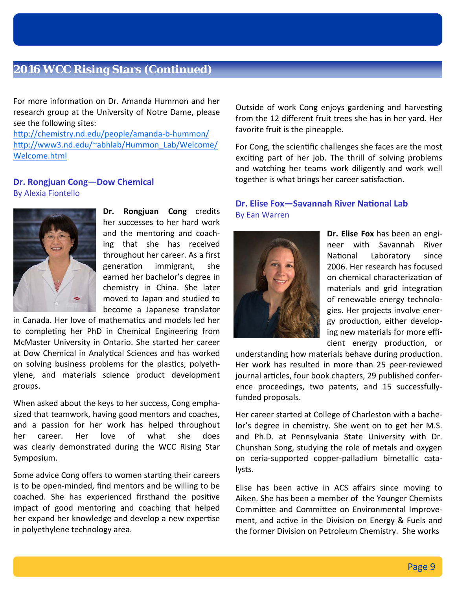### **2016 WCC Rising Stars (Continued)**

For more information on Dr. Amanda Hummon and her research group at the University of Notre Dame, please see the following sites:

http://chemistry.nd.edu/people/amanda-b-hummon/ http://www3.nd.edu/~abhlab/Hummon\_Lab/Welcome/ Welcome.html

### **Dr. Rongjuan Cong—Dow Chemical** By Alexia Fiontello



**Dr. Rongjuan Cong** credits her successes to her hard work and the mentoring and coach‐ ing that she has received throughout her career. As a first generation immigrant, she earned her bachelor's degree in chemistry in China. She later moved to Japan and studied to become a Japanese translator

in Canada. Her love of mathemaƟcs and models led her to completing her PhD in Chemical Engineering from McMaster University in Ontario. She started her career at Dow Chemical in Analytical Sciences and has worked on solving business problems for the plastics, polyethylene, and materials science product development groups.

When asked about the keys to her success, Cong empha‐ sized that teamwork, having good mentors and coaches, and a passion for her work has helped throughout her career. Her love of what she does was clearly demonstrated during the WCC Rising Star Symposium.

Some advice Cong offers to women starting their careers is to be open‐minded, find mentors and be willing to be coached. She has experienced firsthand the positive impact of good mentoring and coaching that helped her expand her knowledge and develop a new expertise in polyethylene technology area.

Outside of work Cong enjoys gardening and harvesting from the 12 different fruit trees she has in her yard. Her favorite fruit is the pineapple.

For Cong, the scientific challenges she faces are the most exciting part of her job. The thrill of solving problems and watching her teams work diligently and work well together is what brings her career satisfaction.

### **Dr. Elise Fox—Savannah River NaƟonal Lab** By Ean Warren



**Dr. Elise Fox** has been an engi‐ neer with Savannah River National Laboratory since 2006. Her research has focused on chemical characterization of materials and grid integration of renewable energy technolo‐ gies. Her projects involve ener‐ gy production, either developing new materials for more effi‐ cient energy production, or

understanding how materials behave during production. Her work has resulted in more than 25 peer‐reviewed journal articles, four book chapters, 29 published conference proceedings, two patents, and 15 successfully‐ funded proposals.

Her career started at College of Charleston with a bache‐ lor's degree in chemistry. She went on to get her M.S. and Ph.D. at Pennsylvania State University with Dr. Chunshan Song, studying the role of metals and oxygen on ceria‐supported copper‐palladium bimetallic cata‐ lysts.

Elise has been active in ACS affairs since moving to Aiken. She has been a member of the Younger Chemists Committee and Committee on Environmental Improvement, and active in the Division on Energy & Fuels and the former Division on Petroleum Chemistry. She works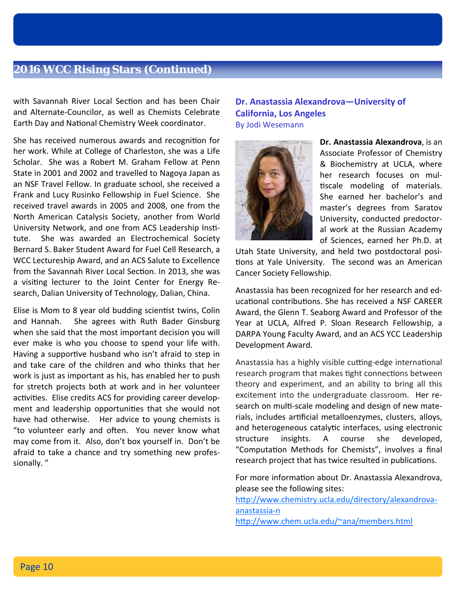### **2016 WCC Rising Stars (Continued)**

with Savannah River Local Section and has been Chair and Alternate‐Councilor, as well as Chemists Celebrate Earth Day and National Chemistry Week coordinator.

She has received numerous awards and recognition for her work. While at College of Charleston, she was a Life Scholar. She was a Robert M. Graham Fellow at Penn State in 2001 and 2002 and travelled to Nagoya Japan as an NSF Travel Fellow. In graduate school, she received a Frank and Lucy Rusinko Fellowship in Fuel Science. She received travel awards in 2005 and 2008, one from the North American Catalysis Society, another from World University Network, and one from ACS Leadership Institute. She was awarded an Electrochemical Society Bernard S. Baker Student Award for Fuel Cell Research, a WCC Lectureship Award, and an ACS Salute to Excellence from the Savannah River Local Section. In 2013, she was a visiting lecturer to the Joint Center for Energy Research, Dalian University of Technology, Dalian, China.

Elise is Mom to 8 year old budding scientist twins, Colin and Hannah. She agrees with Ruth Bader Ginsburg when she said that the most important decision you will ever make is who you choose to spend your life with. Having a supportive husband who isn't afraid to step in and take care of the children and who thinks that her work is just as important as his, has enabled her to push for stretch projects both at work and in her volunteer activities. Elise credits ACS for providing career development and leadership opportunities that she would not have had otherwise. Her advice to young chemists is "to volunteer early and often. You never know what may come from it. Also, don't box yourself in. Don't be afraid to take a chance and try something new profes‐ sionally. "

### **Dr. Anastassia Alexandrova—University of California, Los Angeles** By Jodi Wesemann



**Dr. Anastassia Alexandrova**, is an Associate Professor of Chemistry & Biochemistry at UCLA, where her research focuses on mul‐ tiscale modeling of materials. She earned her bachelor's and master's degrees from Saratov University, conducted predoctor‐ al work at the Russian Academy of Sciences, earned her Ph.D. at

Utah State University, and held two postdoctoral posi‐ tions at Yale University. The second was an American Cancer Society Fellowship.

Anastassia has been recognized for her research and ed‐ ucational contributions. She has received a NSF CAREER Award, the Glenn T. Seaborg Award and Professor of the Year at UCLA, Alfred P. Sloan Research Fellowship, a DARPA Young Faculty Award, and an ACS YCC Leadership Development Award.

Anastassia has a highly visible cutting-edge international research program that makes tight connections between theory and experiment, and an ability to bring all this excitement into the undergraduate classroom. Her re‐ search on multi-scale modeling and design of new materials, includes artificial metalloenzymes, clusters, alloys, and heterogeneous catalytic interfaces, using electronic structure insights. A course she developed, "Computation Methods for Chemists", involves a final research project that has twice resulted in publications.

For more information about Dr. Anastassia Alexandrova, please see the following sites:

http://www.chemistry.ucla.edu/directory/alexandrovaanastassia‐n

http://www.chem.ucla.edu/~ana/members.html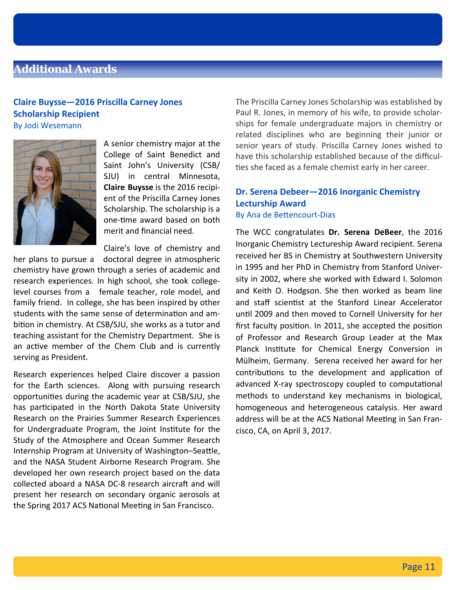# **Additional Awards**

### **Claire Buysse—2016 Priscilla Carney Jones Scholarship Recipient** By Jodi Wesemann

A senior chemistry major at the College of Saint Benedict and Saint John's University (CSB/ SJU) in central Minnesota, **Claire Buysse** is the 2016 recipi‐ ent of the Priscilla Carney Jones Scholarship. The scholarship is a one-time award based on both merit and financial need.

Claire's love of chemistry and

her plans to pursue a doctoral degree in atmospheric chemistry have grown through a series of academic and research experiences. In high school, she took college‐ level courses from a female teacher, role model, and family friend. In college, she has been inspired by other students with the same sense of determination and ambition in chemistry. At CSB/SJU, she works as a tutor and teaching assistant for the Chemistry Department. She is an active member of the Chem Club and is currently serving as President.

Research experiences helped Claire discover a passion for the Earth sciences. Along with pursuing research opportuniƟes during the academic year at CSB/SJU, she has participated in the North Dakota State University Research on the Prairies Summer Research Experiences for Undergraduate Program, the Joint Institute for the Study of the Atmosphere and Ocean Summer Research Internship Program at University of Washington-Seattle, and the NASA Student Airborne Research Program. She developed her own research project based on the data collected aboard a NASA DC-8 research aircraft and will present her research on secondary organic aerosols at the Spring 2017 ACS National Meeting in San Francisco.

The Priscilla Carney Jones Scholarship was established by Paul R. Jones, in memory of his wife, to provide scholar‐ ships for female undergraduate majors in chemistry or related disciplines who are beginning their junior or senior years of study. Priscilla Carney Jones wished to have this scholarship established because of the difficul‐ ties she faced as a female chemist early in her career.

# **Dr. Serena Debeer—2016 Inorganic Chemistry Lecturship Award**

### By Ana de Bettencourt-Dias

The WCC congratulates **Dr. Serena DeBeer**, the 2016 Inorganic Chemistry Lectureship Award recipient. Serena received her BS in Chemistry at Southwestern University in 1995 and her PhD in Chemistry from Stanford Univer‐ sity in 2002, where she worked with Edward I. Solomon and Keith O. Hodgson. She then worked as beam line and staff scientist at the Stanford Linear Accelerator until 2009 and then moved to Cornell University for her first faculty position. In 2011, she accepted the position of Professor and Research Group Leader at the Max Planck Institute for Chemical Energy Conversion in Mülheim, Germany. Serena received her award for her contributions to the development and application of advanced X-ray spectroscopy coupled to computational methods to understand key mechanisms in biological, homogeneous and heterogeneous catalysis. Her award address will be at the ACS National Meeting in San Francisco, CA, on April 3, 2017.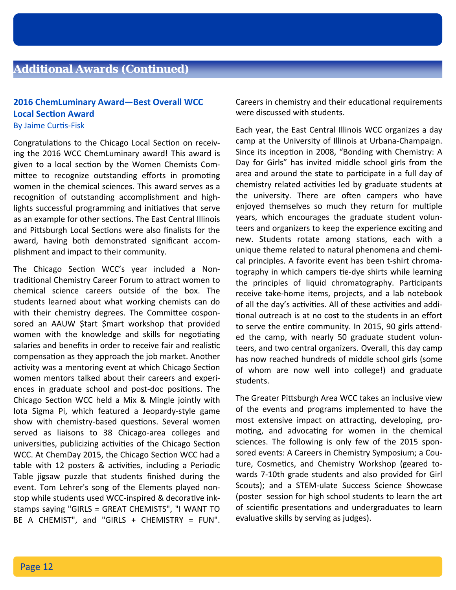### **Additional Awards (Continued)**

### **2016 ChemLuminary Award—Best Overall WCC Local Section Award** By Jaime Curtis-Fisk

Congratulations to the Chicago Local Section on receiving the 2016 WCC ChemLuminary award! This award is given to a local section by the Women Chemists Committee to recognize outstanding efforts in promoting women in the chemical sciences. This award serves as a recognition of outstanding accomplishment and highlights successful programming and initiatives that serve as an example for other sections. The East Central Illinois and Pittsburgh Local Sections were also finalists for the award, having both demonstrated significant accom‐ plishment and impact to their community.

The Chicago Section WCC's year included a Nontraditional Chemistry Career Forum to attract women to chemical science careers outside of the box. The students learned about what working chemists can do with their chemistry degrees. The Committee cosponsored an AAUW \$tart \$mart workshop that provided women with the knowledge and skills for negotiating salaries and benefits in order to receive fair and realistic compensation as they approach the job market. Another activity was a mentoring event at which Chicago Section women mentors talked about their careers and experi‐ ences in graduate school and post-doc positions. The Chicago Section WCC held a Mix & Mingle jointly with Iota Sigma Pi, which featured a Jeopardy‐style game show with chemistry-based questions. Several women served as liaisons to 38 Chicago-area colleges and universities, publicizing activities of the Chicago Section WCC. At ChemDay 2015, the Chicago Section WCC had a table with 12 posters & activities, including a Periodic Table jigsaw puzzle that students finished during the event. Tom Lehrer's song of the Elements played non‐ stop while students used WCC-inspired & decorative inkstamps saying "GIRLS = GREAT CHEMISTS", "I WANT TO BE A CHEMIST", and "GIRLS + CHEMISTRY = FUN". Careers in chemistry and their educational requirements were discussed with students.

Each year, the East Central Illinois WCC organizes a day camp at the University of Illinois at Urbana‐Champaign. Since its inception in 2008, "Bonding with Chemistry: A Day for Girls" has invited middle school girls from the area and around the state to participate in a full day of chemistry related activities led by graduate students at the university. There are often campers who have enjoyed themselves so much they return for multiple years, which encourages the graduate student volun‐ teers and organizers to keep the experience exciting and new. Students rotate among stations, each with a unique theme related to natural phenomena and chemi‐ cal principles. A favorite event has been t‐shirt chroma‐ tography in which campers tie-dye shirts while learning the principles of liquid chromatography. Participants receive take‐home items, projects, and a lab notebook of all the day's activities. All of these activities and additional outreach is at no cost to the students in an effort to serve the entire community. In 2015, 90 girls attended the camp, with nearly 50 graduate student volun‐ teers, and two central organizers. Overall, this day camp has now reached hundreds of middle school girls (some of whom are now well into college!) and graduate students.

The Greater Pittsburgh Area WCC takes an inclusive view of the events and programs implemented to have the most extensive impact on attracting, developing, promoting, and advocating for women in the chemical sciences. The following is only few of the 2015 spon‐ sored events: A Careers in Chemistry Symposium; a Cou‐ ture, Cosmetics, and Chemistry Workshop (geared towards 7‐10th grade students and also provided for Girl Scouts); and a STEM‐ulate Success Science Showcase (poster session for high school students to learn the art of scientific presentations and undergraduates to learn evaluative skills by serving as judges).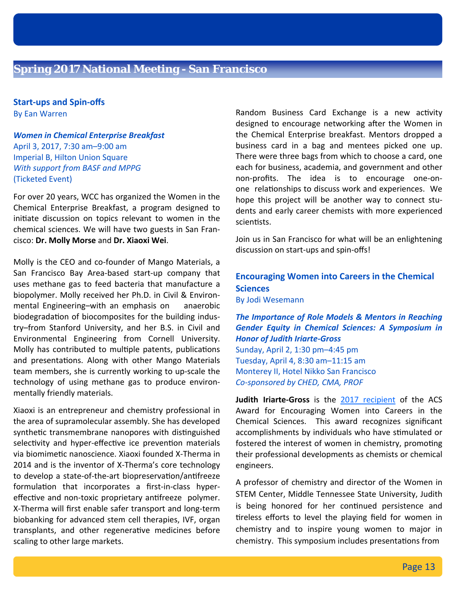**Start‐ups and Spin‐offs**  By Ean Warren

*Women in Chemical Enterprise Breakfast* April 3, 2017, 7:30 am–9:00 am Imperial B, Hilton Union Square *With support from BASF and MPPG*  (Ticketed Event)

For over 20 years, WCC has organized the Women in the Chemical Enterprise Breakfast, a program designed to initiate discussion on topics relevant to women in the chemical sciences. We will have two guests in San Fran‐ cisco: **Dr. Molly Morse** and **Dr. Xiaoxi Wei**.

Molly is the CEO and co‐founder of Mango Materials, a San Francisco Bay Area‐based start‐up company that uses methane gas to feed bacteria that manufacture a biopolymer. Molly received her Ph.D. in Civil & Environ‐ mental Engineering-with an emphasis on anaerobic biodegradation of biocomposites for the building industry–from Stanford University, and her B.S. in Civil and Environmental Engineering from Cornell University. Molly has contributed to multiple patents, publications and presentations. Along with other Mango Materials team members, she is currently working to up‐scale the technology of using methane gas to produce environ‐ mentally friendly materials.

Xiaoxi is an entrepreneur and chemistry professional in the area of supramolecular assembly. She has developed synthetic transmembrane nanopores with distinguished selectivity and hyper-effective ice prevention materials via biomimeƟc nanoscience. Xiaoxi founded X‐Therma in 2014 and is the inventor of X‐Therma's core technology to develop a state-of-the-art biopreservation/antifreeze formulation that incorporates a first-in-class hypereffective and non-toxic proprietary antifreeze polymer. X‐Therma will first enable safer transport and long‐term biobanking for advanced stem cell therapies, IVF, organ transplants, and other regenerative medicines before scaling to other large markets.

Random Business Card Exchange is a new activity designed to encourage networking after the Women in the Chemical Enterprise breakfast. Mentors dropped a business card in a bag and mentees picked one up. There were three bags from which to choose a card, one each for business, academia, and government and other non‐profits. The idea is to encourage one‐on‐ one relationships to discuss work and experiences. We hope this project will be another way to connect stu‐ dents and early career chemists with more experienced scientists.

Join us in San Francisco for what will be an enlightening discussion on start‐ups and spin‐offs!

### **Encouraging Women into Careers in the Chemical Sciences** By Jodi Wesemann

*The Importance of Role Models & Mentors in Reaching Gender Equity in Chemical Sciences: A Symposium in Honor of Judith Iriarte‐Gross* Sunday, April 2, 1:30 pm–4:45 pm Tuesday, April 4, 8:30 am–11:15 am Monterey II, Hotel Nikko San Francisco *Co‐sponsored by CHED, CMA, PROF* 

**Judith Iriarte‐Gross** is the 2017 recipient of the ACS Award for Encouraging Women into Careers in the Chemical Sciences. This award recognizes significant accomplishments by individuals who have stimulated or fostered the interest of women in chemistry, promoting their professional developments as chemists or chemical engineers.

A professor of chemistry and director of the Women in STEM Center, Middle Tennessee State University, Judith is being honored for her continued persistence and tireless efforts to level the playing field for women in chemistry and to inspire young women to major in chemistry. This symposium includes presentations from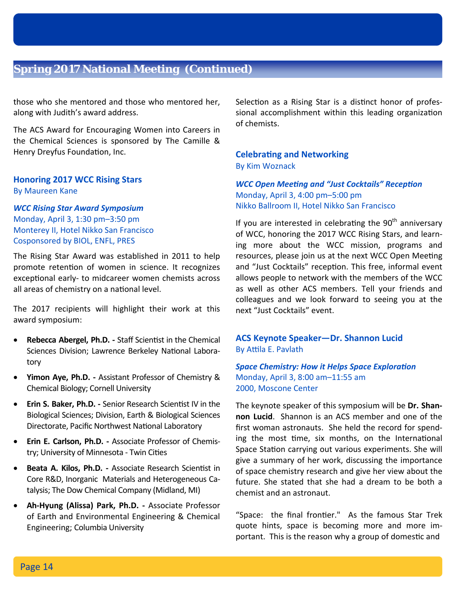# **Spring 2017 National Meeting (Continued)**

those who she mentored and those who mentored her, along with Judith's award address.

The ACS Award for Encouraging Women into Careers in the Chemical Sciences is sponsored by The Camille & Henry Dreyfus Foundation, Inc.

### **Honoring 2017 WCC Rising Stars** By Maureen Kane

*WCC Rising Star Award Symposium* Monday, April 3, 1:30 pm–3:50 pm Monterey II, Hotel Nikko San Francisco Cosponsored by BIOL, ENFL, PRES

The Rising Star Award was established in 2011 to help promote retention of women in science. It recognizes exceptional early- to midcareer women chemists across all areas of chemistry on a national level.

The 2017 recipients will highlight their work at this award symposium:

- **Rebecca Abergel, Ph.D. ‐** Staff ScienƟst in the Chemical Sciences Division; Lawrence Berkeley National Laboratory
- **Yimon Aye, Ph.D. ‐** Assistant Professor of Chemistry & Chemical Biology; Cornell University
- **Erin S. Baker, Ph.D. ‐** Senior Research ScienƟst IV in the Biological Sciences; Division, Earth & Biological Sciences Directorate, Pacific Northwest National Laboratory
- **Erin E. Carlson, Ph.D. ‐** Associate Professor of Chemis‐ try; University of Minnesota - Twin Cities
- **Beata A. Kilos, Ph.D.** Associate Research Scientist in Core R&D, Inorganic Materials and Heterogeneous Ca‐ talysis; The Dow Chemical Company (Midland, MI)
- **Ah‐Hyung (Alissa) Park, Ph.D. ‐**  Associate Professor of Earth and Environmental Engineering & Chemical Engineering; Columbia University

Selection as a Rising Star is a distinct honor of professional accomplishment within this leading organization of chemists.

### **CelebraƟng and Networking** By Kim Woznack

*WCC Open MeeƟng and "Just Cocktails" RecepƟon* Monday, April 3, 4:00 pm–5:00 pm Nikko Ballroom II, Hotel Nikko San Francisco

If you are interested in celebrating the  $90<sup>th</sup>$  anniversary of WCC, honoring the 2017 WCC Rising Stars, and learn‐ ing more about the WCC mission, programs and resources, please join us at the next WCC Open Meeting and "Just Cocktails" reception. This free, informal event allows people to network with the members of the WCC as well as other ACS members. Tell your friends and colleagues and we look forward to seeing you at the next "Just Cocktails" event.

**ACS Keynote Speaker—Dr. Shannon Lucid** By Attila E. Pavlath

*Space Chemistry: How it Helps Space ExploraƟon* Monday, April 3, 8:00 am–11:55 am 2000, Moscone Center

The keynote speaker of this symposium will be **Dr. Shan‐ non Lucid**. Shannon is an ACS member and one of the first woman astronauts. She held the record for spend‐ ing the most time, six months, on the International Space Station carrying out various experiments. She will give a summary of her work, discussing the importance of space chemistry research and give her view about the future. She stated that she had a dream to be both a chemist and an astronaut.

"Space: the final frontier." As the famous Star Trek quote hints, space is becoming more and more im‐ portant. This is the reason why a group of domestic and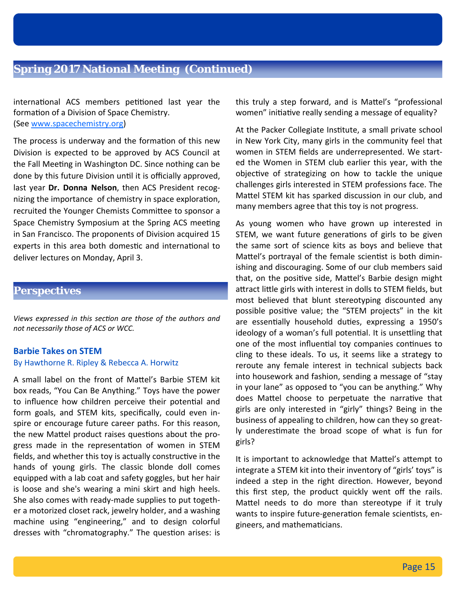# **Spring 2017 National Meeting (Continued)**

international ACS members petitioned last year the formation of a Division of Space Chemistry. (See www.spacechemistry.org)

The process is underway and the formation of this new Division is expected to be approved by ACS Council at the Fall Meeting in Washington DC. Since nothing can be done by this future Division until it is officially approved, last year **Dr. Donna Nelson**, then ACS President recog‐ nizing the importance of chemistry in space exploration, recruited the Younger Chemists Committee to sponsor a Space Chemistry Symposium at the Spring ACS meeting in San Francisco. The proponents of Division acquired 15 experts in this area both domestic and international to deliver lectures on Monday, April 3.

### **Perspectives**

*Views expressed in this secƟon are those of the authors and not necessarily those of ACS or WCC.* 

### **Barbie Takes on STEM** By Hawthorne R. Ripley & Rebecca A. Horwitz

A small label on the front of Mattel's Barbie STEM kit box reads, "You Can Be Anything." Toys have the power to influence how children perceive their potential and form goals, and STEM kits, specifically, could even in‐ spire or encourage future career paths. For this reason, the new Mattel product raises questions about the progress made in the representation of women in STEM fields, and whether this toy is actually constructive in the hands of young girls. The classic blonde doll comes equipped with a lab coat and safety goggles, but her hair is loose and she's wearing a mini skirt and high heels. She also comes with ready‐made supplies to put togeth‐ er a motorized closet rack, jewelry holder, and a washing machine using "engineering," and to design colorful dresses with "chromatography." The question arises: is this truly a step forward, and is Mattel's "professional women" initiative really sending a message of equality?

At the Packer Collegiate Institute, a small private school in New York City, many girls in the community feel that women in STEM fields are underrepresented. We start‐ ed the Women in STEM club earlier this year, with the objective of strategizing on how to tackle the unique challenges girls interested in STEM professions face. The Mattel STEM kit has sparked discussion in our club, and many members agree that this toy is not progress.

As young women who have grown up interested in STEM, we want future generations of girls to be given the same sort of science kits as boys and believe that Mattel's portrayal of the female scientist is both diminishing and discouraging. Some of our club members said that, on the positive side, Mattel's Barbie design might attract little girls with interest in dolls to STEM fields, but most believed that blunt stereotyping discounted any possible positive value; the "STEM projects" in the kit are essentially household duties, expressing a 1950's ideology of a woman's full potential. It is unsettling that one of the most influential toy companies continues to cling to these ideals. To us, it seems like a strategy to reroute any female interest in technical subjects back into housework and fashion, sending a message of "stay in your lane" as opposed to "you can be anything." Why does Mattel choose to perpetuate the narrative that girls are only interested in "girly" things? Being in the business of appealing to children, how can they so great‐ ly underestimate the broad scope of what is fun for girls?

It is important to acknowledge that Mattel's attempt to integrate a STEM kit into their inventory of "girls' toys" is indeed a step in the right direction. However, beyond this first step, the product quickly went off the rails. Mattel needs to do more than stereotype if it truly wants to inspire future-generation female scientists, engineers, and mathemaƟcians.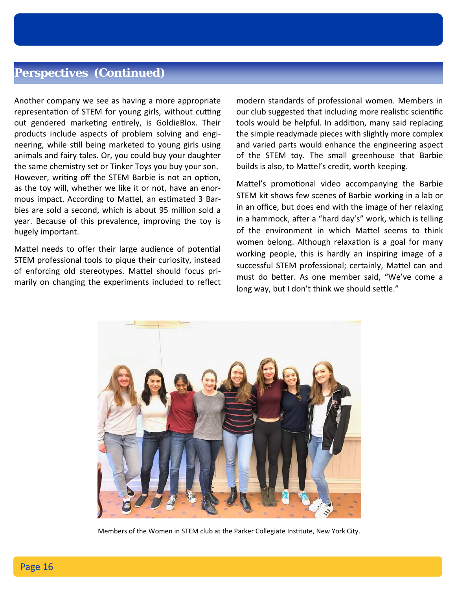# **Perspectives (Continued)**

Another company we see as having a more appropriate representation of STEM for young girls, without cutting out gendered marketing entirely, is GoldieBlox. Their products include aspects of problem solving and engi‐ neering, while still being marketed to young girls using animals and fairy tales. Or, you could buy your daughter the same chemistry set or Tinker Toys you buy your son. However, writing off the STEM Barbie is not an option, as the toy will, whether we like it or not, have an enor‐ mous impact. According to Mattel, an estimated 3 Barbies are sold a second, which is about 95 million sold a year. Because of this prevalence, improving the toy is hugely important.

Mattel needs to offer their large audience of potential STEM professional tools to pique their curiosity, instead of enforcing old stereotypes. Mattel should focus primarily on changing the experiments included to reflect

modern standards of professional women. Members in our club suggested that including more realistic scientific tools would be helpful. In addition, many said replacing the simple readymade pieces with slightly more complex and varied parts would enhance the engineering aspect of the STEM toy. The small greenhouse that Barbie builds is also, to Mattel's credit, worth keeping.

Mattel's promotional video accompanying the Barbie STEM kit shows few scenes of Barbie working in a lab or in an office, but does end with the image of her relaxing in a hammock, after a "hard day's" work, which is telling of the environment in which Mattel seems to think women belong. Although relaxation is a goal for many working people, this is hardly an inspiring image of a successful STEM professional; certainly, Mattel can and must do better. As one member said, "We've come a long way, but I don't think we should settle."



Members of the Women in STEM club at the Parker Collegiate Institute, New York City.